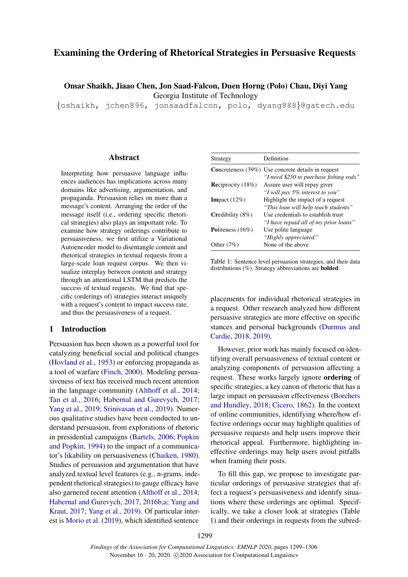# Examining the Ordering of Rhetorical Strategies in Persuasive Requests

Omar Shaikh, Jiaao Chen, Jon Saad-Falcon, Duen Horng (Polo) Chau, Diyi Yang Georgia Institute of Technology

{oshaikh, jchen896, jonsaadfalcon, polo, dyang888}@gatech.edu

#### **Abstract**

Interpreting how persuasive language influences audiences has implications across many domains like advertising, argumentation, and propaganda. Persuasion relies on more than a message's content. Arranging the order of the message itself (i.e., ordering specific rhetorical strategies) also plays an important role. To examine how strategy orderings contribute to persuasiveness, we first utilize a Variational Autoencoder model to disentangle content and rhetorical strategies in textual requests from a large-scale loan request corpus. We then visualize interplay between content and strategy through an attentional LSTM that predicts the success of textual requests. We find that specific (orderings of) strategies interact uniquely with a request's content to impact success rate, and thus the persuasiveness of a request.

### 1 Introduction

Persuasion has been shown as a powerful tool for catalyzing beneficial social and political changes [\(Hovland et al.,](#page-5-0) [1953\)](#page-5-0) or enforcing propaganda as a tool of warfare [\(Finch,](#page-5-1) [2000\)](#page-5-1). Modeling persuasiveness of text has received much recent attention in the language community [\(Althoff et al.,](#page-4-0) [2014;](#page-4-0) [Tan et al.,](#page-6-0) [2016;](#page-6-0) [Habernal and Gurevych,](#page-5-2) [2017;](#page-5-2) [Yang et al.,](#page-6-1) [2019;](#page-6-1) [Srinivasan et al.,](#page-6-2) [2019\)](#page-6-2). Numerous qualitative studies have been conducted to understand persuasion, from explorations of rhetoric in presidential campaigns [\(Bartels,](#page-5-3) [2006;](#page-5-3) [Popkin](#page-6-3) [and Popkin,](#page-6-3) [1994\)](#page-6-3) to the impact of a communicator's likability on persuasiveness [\(Chaiken,](#page-5-4) [1980\)](#page-5-4). Studies of persuasion and argumentation that have analyzed textual level features (e.g., n-grams, independent rhetorical strategies) to gauge efficacy have also garnered recent attention [\(Althoff et al.,](#page-4-0) [2014;](#page-4-0) [Habernal and Gurevych,](#page-5-2) [2017,](#page-5-2) [2016b,](#page-5-5)[a;](#page-5-6) [Yang and](#page-6-4) [Kraut,](#page-6-4) [2017;](#page-6-4) [Yang et al.,](#page-6-1) [2019\)](#page-6-1). Of particular interest is [Morio et al.](#page-5-7) [\(2019\)](#page-5-7), which identified sentence

<span id="page-0-0"></span>

| Strategy                    | Definition                                                |
|-----------------------------|-----------------------------------------------------------|
|                             | <b>Concreteness</b> (39%) Use concrete details in request |
|                             | "I need \$250 to purchase fishing rods"                   |
| <b>Reciprocity</b> $(18\%)$ | Assure user will repay giver                              |
|                             | "I will pay 5% interest to you"                           |
| <b>Impact</b> $(12\%)$      | Highlight the impact of a request                         |
|                             | "This loan will help teach students"                      |
| Credibility $(8\%)$         | Use credentials to establish trust                        |
|                             | "I have repaid all of my prior loans"                     |
| Politeness $(16\%)$         | Use polite language                                       |
|                             | "Highly appreciated."                                     |
| Other $(7%)$                | None of the above                                         |

Table 1: Sentence level persuasion strategies, and their data distributions (%). Strategy abbreviations are bolded.

placements for individual rhetorical strategies in a request. Other research analyzed how different persuasive strategies are more effective on specific stances and personal backgrounds [\(Durmus and](#page-5-8) [Cardie,](#page-5-8) [2018,](#page-5-8) [2019\)](#page-5-9).

However, prior work has mainly focused on identifying overall persuasiveness of textual content or analyzing components of persuasion affecting a request. These works largely ignore ordering of specific strategies, a key canon of rhetoric that has a large impact on persuasion effectiveness [\(Borchers](#page-5-10) [and Hundley,](#page-5-10) [2018;](#page-5-10) [Cicero,](#page-5-11) [1862\)](#page-5-11). In the context of online communities, identifying where/how effective orderings occur may highlight qualities of persuasive requests and help users improve their rhetorical appeal. Furthermore, highlighting ineffective orderings may help users avoid pitfalls when framing their posts.

To fill this gap, we propose to investigate particular orderings of persuasive strategies that affect a request's persuasiveness and identify situations where these orderings are optimal. Specifically, we take a closer look at strategies (Table [1\)](#page-0-0) and their orderings in requests from the subred-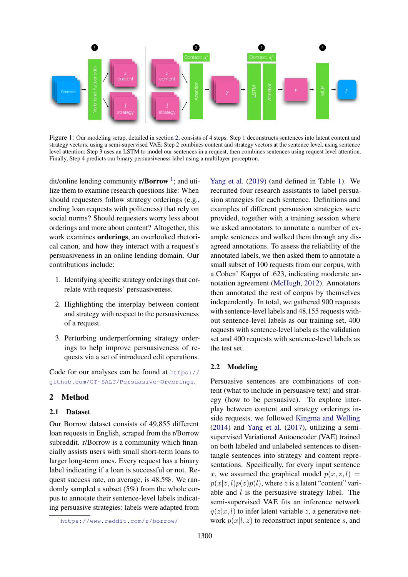

Figure 1: Our modeling setup, detailed in section [2,](#page-1-0) consists of 4 steps. Step 1 deconstructs sentences into latent content and strategy vectors, using a semi-supervised VAE; Step 2 combines content and strategy vectors at the sentence level, using sentence level attention; Step 3 uses an LSTM to model our sentences in a request, then combines sentences using request level attention. Finally, Step 4 predicts our binary persuasiveness label using a multilayer perceptron.

dit/online lending community **r/Borrow**<sup>[1](#page-1-1)</sup>; and utilize them to examine research questions like: When should requesters follow strategy orderings (e.g., ending loan requests with politeness) that rely on social norms? Should requesters worry less about orderings and more about content? Altogether, this work examines orderings, an overlooked rhetorical canon, and how they interact with a request's persuasiveness in an online lending domain. Our contributions include:

- 1. Identifying specific strategy orderings that correlate with requests' persuasiveness.
- 2. Highlighting the interplay between content and strategy with respect to the persuasiveness of a request.
- 3. Perturbing underperforming strategy orderings to help improve persuasiveness of requests via a set of introduced edit operations.

Code for our analyses can be found at [https://](https://github.com/GT-SALT/Persuasive-Orderings) [github.com/GT-SALT/Persuasive-Orderings](https://github.com/GT-SALT/Persuasive-Orderings).

### <span id="page-1-0"></span>2 Method

#### 2.1 Dataset

Our Borrow dataset consists of 49,855 different loan requests in English, scraped from the r/Borrow subreddit. r/Borrow is a community which financially assists users with small short-term loans to larger long-term ones. Every request has a binary label indicating if a loan is successful or not. Request success rate, on average, is 48.5%. We randomly sampled a subset (5%) from the whole corpus to annotate their sentence-level labels indicating persuasive strategies; labels were adapted from

<span id="page-1-1"></span><sup>1</sup><https://www.reddit.com/r/borrow/>

[Yang et al.](#page-6-1) [\(2019\)](#page-6-1) (and defined in Table [1\)](#page-0-0). We recruited four research assistants to label persuasion strategies for each sentence. Definitions and examples of different persuasion strategies were provided, together with a training session where we asked annotators to annotate a number of example sentences and walked them through any disagreed annotations. To assess the reliability of the annotated labels, we then asked them to annotate a small subset of 100 requests from our corpus, with a Cohen' Kappa of .623, indicating moderate annotation agreement [\(McHugh,](#page-5-12) [2012\)](#page-5-12). Annotators then annotated the rest of corpus by themselves independently. In total, we gathered 900 requests with sentence-level labels and 48,155 requests without sentence-level labels as our training set, 400 requests with sentence-level labels as the validation set and 400 requests with sentence-level labels as the test set.

#### 2.2 Modeling

Persuasive sentences are combinations of content (what to include in persuasive text) and strategy (how to be persuasive). To explore interplay between content and strategy orderings inside requests, we followed [Kingma and Welling](#page-5-13) [\(2014\)](#page-5-13) and [Yang et al.](#page-6-5) [\(2017\)](#page-6-5), utilizing a semisupervised Variational Autoencoder (VAE) trained on both labeled and unlabeled sentences to disentangle sentences into strategy and content representations. Specifically, for every input sentence x, we assumed the graphical model  $p(x, z, l)$  =  $p(x|z, l)p(z)p(l)$ , where z is a latent "content" variable and  $l$  is the persuasive strategy label. The semi-supervised VAE fits an inference network  $q(z|x, l)$  to infer latent variable z, a generative network  $p(x|l, z)$  to reconstruct input sentence s, and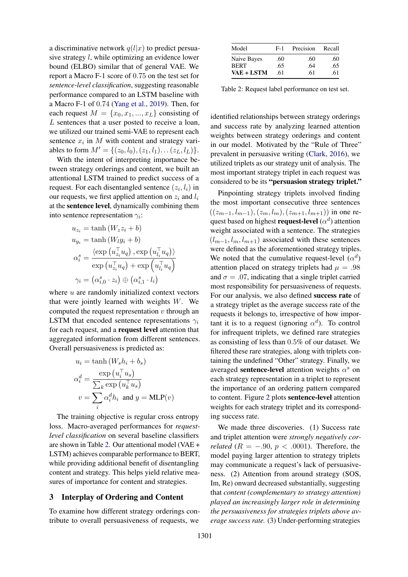a discriminative network  $q(l|x)$  to predict persuasive strategy l, while optimizing an evidence lower bound (ELBO) similar that of general VAE. We report a Macro F-1 score of 0.75 on the test set for *sentence-level classification*, suggesting reasonable performance compared to an LSTM baseline with a Macro F-1 of 0.74 [\(Yang et al.,](#page-6-1) [2019\)](#page-6-1). Then, for each request  $M = \{x_0, x_1, ..., x_L\}$  consisting of L sentences that a user posted to receive a loan, we utilized our trained semi-VAE to represent each sentence  $x_i$  in M with content and strategy variables to form  $M' = \{(z_0, l_0), (z_1, l_1) \dots (z_L, l_L)\}.$ 

With the intent of interpreting importance between strategy orderings and content, we built an attentional LSTM trained to predict success of a request. For each disentangled sentence  $(z_i, l_i)$  in our requests, we first applied attention on  $z_i$  and  $l_i$ at the sentence level, dynamically combining them into sentence representation  $\gamma_i$ :

$$
u_{z_i} = \tanh (W_z z_i + b)
$$
  
\n
$$
u_{y_i} = \tanh (W_l y_i + b)
$$
  
\n
$$
\alpha_i^s = \frac{\langle \exp(u_{z_i}^\top u_q), \exp(u_{l_i}^\top u_q) \rangle}{\exp(u_{z_i}^\top u_q) + \exp(u_{l_i}^\top u_q)}
$$
  
\n
$$
\gamma_i = (\alpha_{i,0}^s \cdot z_i) \oplus (\alpha_{i,1}^s \cdot l_i)
$$

where  $u$  are randomly initialized context vectors that were jointly learned with weights  $W$ . We computed the request representation  $v$  through an LSTM that encoded sentence representations  $\gamma_i$ for each request, and a request level attention that aggregated information from different sentences. Overall persuasiveness is predicted as:

$$
u_i = \tanh(W_s h_i + b_s)
$$

$$
\alpha_i^d = \frac{\exp(u_i^{\top} u_s)}{\sum_k \exp(u_k^{\top} u_s)}
$$

$$
v = \sum_i \alpha_i^d h_i \text{ and } y = \text{MLP}(v)
$$

The training objective is regular cross entropy loss. Macro-averaged performances for *requestlevel classification* on several baseline classifiers are shown in Table [2.](#page-2-0) Our attentional model (VAE + LSTM) achieves comparable performance to BERT, while providing additional benefit of disentangling content and strategy. This helps yield relative measures of importance for content and strategies.

### 3 Interplay of Ordering and Content

To examine how different strategy orderings contribute to overall persuasiveness of requests, we

<span id="page-2-0"></span>

| Model       | $F-1$ | Precision | Recall |
|-------------|-------|-----------|--------|
| Naive Bayes | .60   | .60       | .60    |
| <b>BERT</b> | .65   | .64       | .65    |
| VAE + LSTM  | .61   | .61       | .61    |

Table 2: Request label performance on test set.

identified relationships between strategy orderings and success rate by analyzing learned attention weights between strategy orderings and content in our model. Motivated by the "Rule of Three" prevalent in persuasive writing [\(Clark,](#page-5-14) [2016\)](#page-5-14), we utilized triplets as our strategy unit of analysis. The most important strategy triplet in each request was considered to be its "persuasion strategy triplet."

Pinpointing strategy triplets involved finding the most important consecutive three sentences  $((z_{m-1}, l_{m-1}), (z_m, l_m), (z_{m+1}, l_{m+1}))$  in one request based on highest **request-level**  $(\alpha^d)$  attention weight associated with a sentence. The strategies  $(l_{m-1}, l_m, l_{m+1})$  associated with these sentences were defined as the aforementioned strategy triples. We noted that the cumulative request-level  $(\alpha^d)$ attention placed on strategy triplets had  $\mu = .98$ and  $\sigma = .07$ , indicating that a single triplet carried most responsibility for persuasiveness of requests. For our analysis, we also defined success rate of a strategy triplet as the average success rate of the requests it belongs to, irrespective of how important it is to a request (ignoring  $\alpha^d$ ). To control for infrequent triplets, we defined rare strategies as consisting of less than 0.5% of our dataset. We filtered these rare strategies, along with triplets containing the undefined "Other" strategy. Finally, we averaged sentence-level attention weights  $\alpha^s$  on each strategy representation in a triplet to represent the importance of an ordering pattern compared to content. Figure [2](#page-3-0) plots sentence-level attention weights for each strategy triplet and its corresponding success rate.

We made three discoveries. (1) Success rate and triplet attention were *strongly negatively correlated* ( $R = -.90, p < .0001$ ). Therefore, the model paying larger attention to strategy triplets may communicate a request's lack of persuasiveness. (2) Attention from around strategy (SOS, Im, Re) onward decreased substantially, suggesting that *content (complementary to strategy attention) played an increasingly larger role in determining the persuasiveness for strategies triplets above average success rate.* (3) Under-performing strategies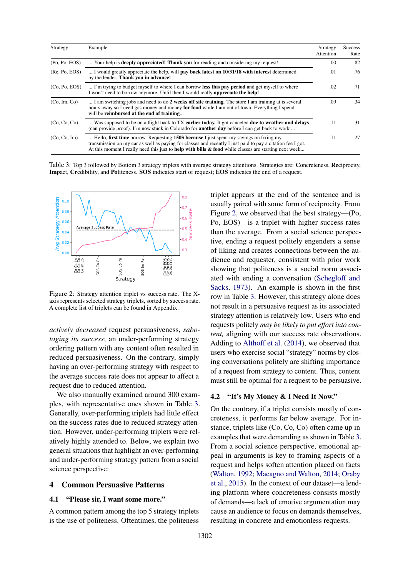<span id="page-3-1"></span>

| Strategy      | Example                                                                                                                                                                                                                                                                                                           | Strategy<br>Attention | <b>Success</b><br>Rate |
|---------------|-------------------------------------------------------------------------------------------------------------------------------------------------------------------------------------------------------------------------------------------------------------------------------------------------------------------|-----------------------|------------------------|
| (Po, Po, EOS) | Your help is <b>deeply appreciated! Thank you</b> for reading and considering my request!                                                                                                                                                                                                                         | .00                   | .82                    |
| (Re, Po, EOS) | I would greatly appreciate the help, will <b>pay back latest on 10/31/18 with interest</b> determined<br>by the lender. Thank you in advance!                                                                                                                                                                     | .01                   | .76                    |
| (Co, Po, EOS) | I'm trying to budget myself to where I can borrow less this pay period and get myself to where<br>I won't need to borrow anymore. Until then I would really <b>appreciate the help!</b>                                                                                                                           | .02                   | .71                    |
| (Co, Im, Co)  | I am switching jobs and need to do 2 weeks off site training. The store I am training at is several<br>hours away so I need gas money and money for food while I am out of town. Everything I spend<br>will be reimbursed at the end of training                                                                  | .09                   | .34                    |
| (Co, Co, Co)  | Was supposed to be on a flight back to TX earlier today. It got canceled due to weather and delays<br>(can provide proof). I'm now stuck in Colorado for <b>another day</b> before I can get back to work                                                                                                         | .11                   | .31                    |
| (Co, Co, Im)  | Hello, first time borrow. Requesting 150\$ because I just spent my savings on fixing my<br>transmission on my car as well as paying for classes and recently I just paid to pay a citation fee I got.<br>At this moment I really need this just to help with bills $\&$ food while classes are starting next week | .11                   | .27                    |

Table 3: Top 3 followed by Bottom 3 strategy triplets with average strategy attentions. Strategies are: Concreteness, Reciprocity, Impact, Credibility, and Politeness. SOS indicates start of request; EOS indicates the end of a request.

<span id="page-3-0"></span>

Figure 2: Strategy attention triplet vs success rate. The Xaxis represents selected strategy triplets, sorted by success rate. A complete list of triplets can be found in Appendix.

*actively decreased* request persuasiveness, *sabotaging its success*; an under-performing strategy ordering pattern with any content often resulted in reduced persuasiveness. On the contrary, simply having an over-performing strategy with respect to the average success rate does not appear to affect a request due to reduced attention.

We also manually examined around 300 examples, with representative ones shown in Table [3.](#page-3-1) Generally, over-performing triplets had little effect on the success rates due to reduced strategy attention. However, under-performing triplets were relatively highly attended to. Below, we explain two general situations that highlight an over-performing and under-performing strategy pattern from a social science perspective:

#### 4 Common Persuasive Patterns

### 4.1 "Please sir, I want some more."

A common pattern among the top 5 strategy triplets is the use of politeness. Oftentimes, the politeness triplet appears at the end of the sentence and is usually paired with some form of reciprocity. From Figure [2,](#page-3-0) we observed that the best strategy—(Po, Po, EOS)—is a triplet with higher success rates than the average. From a social science perspective, ending a request politely engenders a sense of liking and creates connections between the audience and requester, consistent with prior work showing that politeness is a social norm associated with ending a conversation [\(Schegloff and](#page-6-6) [Sacks,](#page-6-6) [1973\)](#page-6-6). An example is shown in the first row in Table [3.](#page-3-1) However, this strategy alone does not result in a persuasive request as its associated strategy attention is relatively low. Users who end requests politely *may be likely to put effort into content,* aligning with our success rate observations. Adding to [Althoff et al.](#page-4-0) [\(2014\)](#page-4-0), we observed that users who exercise social "strategy" norms by closing conversations politely are shifting importance of a request from strategy to content. Thus, content must still be optimal for a request to be persuasive.

#### 4.2 "It's My Money & I Need It Now."

On the contrary, if a triplet consists mostly of concreteness, it performs far below average. For instance, triplets like (Co, Co, Co) often came up in examples that were demanding as shown in Table [3.](#page-3-1) From a social science perspective, emotional appeal in arguments is key to framing aspects of a request and helps soften attention placed on facts [\(Walton,](#page-6-7) [1992;](#page-6-7) [Macagno and Walton,](#page-5-15) [2014;](#page-5-15) [Oraby](#page-5-16) [et al.,](#page-5-16) [2015\)](#page-5-16). In the context of our dataset—a lending platform where concreteness consists mostly of demands—a lack of emotive argumentation may cause an audience to focus on demands themselves, resulting in concrete and emotionless requests.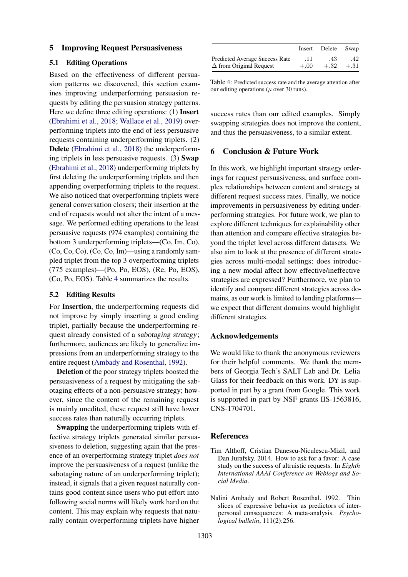#### 5 Improving Request Persuasiveness

#### 5.1 Editing Operations

Based on the effectiveness of different persuasion patterns we discovered, this section examines improving underperforming persuasion requests by editing the persuasion strategy patterns. Here we define three editing operations: (1) Insert [\(Ebrahimi et al.,](#page-5-17) [2018;](#page-5-17) [Wallace et al.,](#page-6-8) [2019\)](#page-6-8) overperforming triplets into the end of less persuasive requests containing underperforming triplets. (2) Delete [\(Ebrahimi et al.,](#page-5-17) [2018\)](#page-5-17) the underperforming triplets in less persuasive requests. (3) Swap [\(Ebrahimi et al.,](#page-5-17) [2018\)](#page-5-17) underperforming triplets by first deleting the underperforming triplets and then appending overperforming triplets to the request. We also noticed that overperforming triplets were general conversation closers; their insertion at the end of requests would not alter the intent of a message. We performed editing operations to the least persuasive requests (974 examples) containing the bottom 3 underperforming triplets—(Co, Im, Co), (Co, Co, Co), (Co, Co, Im)—using a randomly sampled triplet from the top 3 overperforming triplets (775 examples)—(Po, Po, EOS), (Re, Po, EOS), (Co, Po, EOS). Table [4](#page-4-1) summarizes the results.

#### 5.2 Editing Results

For Insertion, the underperforming requests did not improve by simply inserting a good ending triplet, partially because the underperforming request already consisted of a sabotaging strategy; furthermore, audiences are likely to generalize impressions from an underperforming strategy to the entire request [\(Ambady and Rosenthal,](#page-4-2) [1992\)](#page-4-2).

Deletion of the poor strategy triplets boosted the persuasiveness of a request by mitigating the sabotaging effects of a non-persuasive strategy; however, since the content of the remaining request is mainly unedited, these request still have lower success rates than naturally occurring triplets.

Swapping the underperforming triplets with effective strategy triplets generated similar persuasiveness to deletion, suggesting again that the presence of an overperforming strategy triplet *does not* improve the persuasiveness of a request (unlike the sabotaging nature of an underperforming triplet); instead, it signals that a given request naturally contains good content since users who put effort into following social norms will likely work hard on the content. This may explain why requests that naturally contain overperforming triplets have higher

<span id="page-4-1"></span>

|                                       | Insert   | Delete Swap |        |
|---------------------------------------|----------|-------------|--------|
| <b>Predicted Average Success Rate</b> | -11      | .43         | .42    |
| $\Delta$ from Original Request        | $+.00 +$ | $+.32$      | $+.31$ |

Table 4: Predicted success rate and the average attention after our editing operations ( $\mu$  over 30 runs).

success rates than our edited examples. Simply swapping strategies does not improve the content, and thus the persuasiveness, to a similar extent.

#### 6 Conclusion & Future Work

In this work, we highlight important strategy orderings for request persuasiveness, and surface complex relationships between content and strategy at different request success rates. Finally, we notice improvements in persuasiveness by editing underperforming strategies. For future work, we plan to explore different techniques for explainability other than attention and compare effective strategies beyond the triplet level across different datasets. We also aim to look at the presence of different strategies across multi-modal settings; does introducing a new modal affect how effective/ineffective strategies are expressed? Furthermore, we plan to identify and compare different strategies across domains, as our work is limited to lending platforms we expect that different domains would highlight different strategies.

#### Acknowledgements

We would like to thank the anonymous reviewers for their helpful comments. We thank the members of Georgia Tech's SALT Lab and Dr. Lelia Glass for their feedback on this work. DY is supported in part by a grant from Google. This work is supported in part by NSF grants IIS-1563816, CNS-1704701.

#### References

- <span id="page-4-0"></span>Tim Althoff, Cristian Danescu-Niculescu-Mizil, and Dan Jurafsky. 2014. How to ask for a favor: A case study on the success of altruistic requests. In *Eighth International AAAI Conference on Weblogs and Social Media*.
- <span id="page-4-2"></span>Nalini Ambady and Robert Rosenthal. 1992. Thin slices of expressive behavior as predictors of interpersonal consequences: A meta-analysis. *Psychological bulletin*, 111(2):256.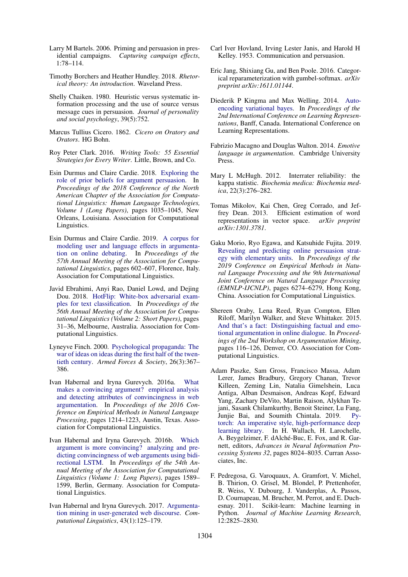- <span id="page-5-3"></span>Larry M Bartels. 2006. Priming and persuasion in presidential campaigns. *Capturing campaign effects*, 1:78–114.
- <span id="page-5-10"></span>Timothy Borchers and Heather Hundley. 2018. *Rhetorical theory: An introduction*. Waveland Press.
- <span id="page-5-4"></span>Shelly Chaiken. 1980. Heuristic versus systematic information processing and the use of source versus message cues in persuasion. *Journal of personality and social psychology*, 39(5):752.
- <span id="page-5-11"></span>Marcus Tullius Cicero. 1862. *Cicero on Oratory and Orators*. HG Bohn.
- <span id="page-5-14"></span>Roy Peter Clark. 2016. *Writing Tools: 55 Essential Strategies for Every Writer*. Little, Brown, and Co.
- <span id="page-5-8"></span>Esin Durmus and Claire Cardie. 2018. [Exploring the](https://doi.org/10.18653/v1/N18-1094) [role of prior beliefs for argument persuasion.](https://doi.org/10.18653/v1/N18-1094) In *Proceedings of the 2018 Conference of the North American Chapter of the Association for Computational Linguistics: Human Language Technologies, Volume 1 (Long Papers)*, pages 1035–1045, New Orleans, Louisiana. Association for Computational Linguistics.
- <span id="page-5-9"></span>Esin Durmus and Claire Cardie. 2019. [A corpus for](https://doi.org/10.18653/v1/P19-1057) [modeling user and language effects in argumenta](https://doi.org/10.18653/v1/P19-1057)[tion on online debating.](https://doi.org/10.18653/v1/P19-1057) In *Proceedings of the 57th Annual Meeting of the Association for Computational Linguistics*, pages 602–607, Florence, Italy. Association for Computational Linguistics.
- <span id="page-5-17"></span>Javid Ebrahimi, Anyi Rao, Daniel Lowd, and Dejing Dou. 2018. [HotFlip: White-box adversarial exam](https://doi.org/10.18653/v1/P18-2006)[ples for text classification.](https://doi.org/10.18653/v1/P18-2006) In *Proceedings of the 56th Annual Meeting of the Association for Computational Linguistics (Volume 2: Short Papers)*, pages 31–36, Melbourne, Australia. Association for Computational Linguistics.
- <span id="page-5-1"></span>Lyneyve Finch. 2000. [Psychological propaganda: The](https://doi.org/10.1177/0095327X0002600302) [war of ideas on ideas during the first half of the twen](https://doi.org/10.1177/0095327X0002600302)[tieth century.](https://doi.org/10.1177/0095327X0002600302) *Armed Forces & Society*, 26(3):367– 386.
- <span id="page-5-6"></span>Ivan Habernal and Iryna Gurevych. 2016a. [What](https://doi.org/10.18653/v1/D16-1129) [makes a convincing argument? empirical analysis](https://doi.org/10.18653/v1/D16-1129) [and detecting attributes of convincingness in web](https://doi.org/10.18653/v1/D16-1129) [argumentation.](https://doi.org/10.18653/v1/D16-1129) In *Proceedings of the 2016 Conference on Empirical Methods in Natural Language Processing*, pages 1214–1223, Austin, Texas. Association for Computational Linguistics.
- <span id="page-5-5"></span>Ivan Habernal and Iryna Gurevych. 2016b. [Which](https://doi.org/10.18653/v1/P16-1150) [argument is more convincing? analyzing and pre](https://doi.org/10.18653/v1/P16-1150)[dicting convincingness of web arguments using bidi](https://doi.org/10.18653/v1/P16-1150)[rectional LSTM.](https://doi.org/10.18653/v1/P16-1150) In *Proceedings of the 54th Annual Meeting of the Association for Computational Linguistics (Volume 1: Long Papers)*, pages 1589– 1599, Berlin, Germany. Association for Computational Linguistics.
- <span id="page-5-2"></span>Ivan Habernal and Iryna Gurevych. 2017. [Argumenta](https://doi.org/10.1162/COLI_a_00276)[tion mining in user-generated web discourse.](https://doi.org/10.1162/COLI_a_00276) *Computational Linguistics*, 43(1):125–179.
- <span id="page-5-0"></span>Carl Iver Hovland, Irving Lester Janis, and Harold H Kelley. 1953. Communication and persuasion.
- <span id="page-5-19"></span>Eric Jang, Shixiang Gu, and Ben Poole. 2016. Categorical reparameterization with gumbel-softmax. *arXiv preprint arXiv:1611.01144*.
- <span id="page-5-13"></span>Diederik P Kingma and Max Welling. 2014. [Auto](https://arxiv.org/abs/1312.6114)[encoding variational bayes.](https://arxiv.org/abs/1312.6114) In *Proceedings of the 2nd International Conference on Learning Representations*, Banff, Canada. International Conference on Learning Representations.
- <span id="page-5-15"></span>Fabrizio Macagno and Douglas Walton. 2014. *Emotive language in argumentation*. Cambridge University Press.
- <span id="page-5-12"></span>Mary L McHugh. 2012. Interrater reliability: the kappa statistic. *Biochemia medica: Biochemia medica*, 22(3):276–282.
- <span id="page-5-20"></span>Tomas Mikolov, Kai Chen, Greg Corrado, and Jeffrey Dean. 2013. Efficient estimation of word representations in vector space. *arXiv preprint arXiv:1301.3781*.
- <span id="page-5-7"></span>Gaku Morio, Ryo Egawa, and Katsuhide Fujita. 2019. [Revealing and predicting online persuasion strat](https://doi.org/10.18653/v1/D19-1653)[egy with elementary units.](https://doi.org/10.18653/v1/D19-1653) In *Proceedings of the 2019 Conference on Empirical Methods in Natural Language Processing and the 9th International Joint Conference on Natural Language Processing (EMNLP-IJCNLP)*, pages 6274–6279, Hong Kong, China. Association for Computational Linguistics.
- <span id="page-5-16"></span>Shereen Oraby, Lena Reed, Ryan Compton, Ellen Riloff, Marilyn Walker, and Steve Whittaker. 2015. [And that's a fact: Distinguishing factual and emo](https://doi.org/10.3115/v1/W15-0515)[tional argumentation in online dialogue.](https://doi.org/10.3115/v1/W15-0515) In *Proceedings of the 2nd Workshop on Argumentation Mining*, pages 116–126, Denver, CO. Association for Computational Linguistics.
- <span id="page-5-18"></span>Adam Paszke, Sam Gross, Francisco Massa, Adam Lerer, James Bradbury, Gregory Chanan, Trevor Killeen, Zeming Lin, Natalia Gimelshein, Luca Antiga, Alban Desmaison, Andreas Kopf, Edward Yang, Zachary DeVito, Martin Raison, Alykhan Tejani, Sasank Chilamkurthy, Benoit Steiner, Lu Fang, Junjie Bai, and Soumith Chintala. 2019. [Py](http://papers.neurips.cc/paper/9015-pytorch-an-imperative-style-high-performance-deep-learning-library.pdf)[torch: An imperative style, high-performance deep](http://papers.neurips.cc/paper/9015-pytorch-an-imperative-style-high-performance-deep-learning-library.pdf) [learning library.](http://papers.neurips.cc/paper/9015-pytorch-an-imperative-style-high-performance-deep-learning-library.pdf) In H. Wallach, H. Larochelle, A. Beygelzimer, F. dAlché-Buc, E. Fox, and R. Garnett, editors, *Advances in Neural Information Processing Systems 32*, pages 8024–8035. Curran Associates, Inc.
- <span id="page-5-21"></span>F. Pedregosa, G. Varoquaux, A. Gramfort, V. Michel, B. Thirion, O. Grisel, M. Blondel, P. Prettenhofer, R. Weiss, V. Dubourg, J. Vanderplas, A. Passos, D. Cournapeau, M. Brucher, M. Perrot, and E. Duchesnay. 2011. Scikit-learn: Machine learning in Python. *Journal of Machine Learning Research*, 12:2825–2830.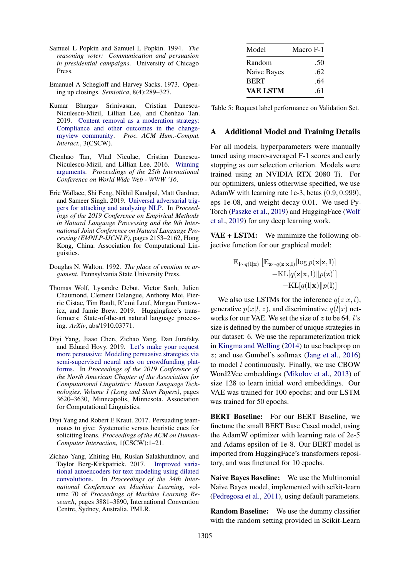- <span id="page-6-3"></span>Samuel L Popkin and Samuel L Popkin. 1994. *The reasoning voter: Communication and persuasion in presidential campaigns*. University of Chicago Press.
- <span id="page-6-6"></span>Emanuel A Schegloff and Harvey Sacks. 1973. Opening up closings. *Semiotica*, 8(4):289–327.
- <span id="page-6-2"></span>Kumar Bhargav Srinivasan, Cristian Danescu-Niculescu-Mizil, Lillian Lee, and Chenhao Tan. 2019. [Content removal as a moderation strategy:](https://doi.org/10.1145/3359265) [Compliance and other outcomes in the change](https://doi.org/10.1145/3359265)[myview community.](https://doi.org/10.1145/3359265) *Proc. ACM Hum.-Comput. Interact.*, 3(CSCW).
- <span id="page-6-0"></span>Chenhao Tan, Vlad Niculae, Cristian Danescu-Niculescu-Mizil, and Lillian Lee. 2016. [Winning](https://doi.org/10.1145/2872427.2883081) [arguments.](https://doi.org/10.1145/2872427.2883081) *Proceedings of the 25th International Conference on World Wide Web - WWW '16*.
- <span id="page-6-8"></span>Eric Wallace, Shi Feng, Nikhil Kandpal, Matt Gardner, and Sameer Singh. 2019. [Universal adversarial trig](https://doi.org/10.18653/v1/D19-1221)[gers for attacking and analyzing NLP.](https://doi.org/10.18653/v1/D19-1221) In *Proceedings of the 2019 Conference on Empirical Methods in Natural Language Processing and the 9th International Joint Conference on Natural Language Processing (EMNLP-IJCNLP)*, pages 2153–2162, Hong Kong, China. Association for Computational Linguistics.
- <span id="page-6-7"></span>Douglas N. Walton. 1992. *The place of emotion in argument*. Pennsylvania State University Press.
- <span id="page-6-9"></span>Thomas Wolf, Lysandre Debut, Victor Sanh, Julien Chaumond, Clement Delangue, Anthony Moi, Pierric Cistac, Tim Rault, R'emi Louf, Morgan Funtowicz, and Jamie Brew. 2019. Huggingface's transformers: State-of-the-art natural language processing. *ArXiv*, abs/1910.03771.
- <span id="page-6-1"></span>Diyi Yang, Jiaao Chen, Zichao Yang, Dan Jurafsky, and Eduard Hovy. 2019. [Let's make your request](https://doi.org/10.18653/v1/N19-1364) [more persuasive: Modeling persuasive strategies via](https://doi.org/10.18653/v1/N19-1364) [semi-supervised neural nets on crowdfunding plat](https://doi.org/10.18653/v1/N19-1364)[forms.](https://doi.org/10.18653/v1/N19-1364) In *Proceedings of the 2019 Conference of the North American Chapter of the Association for Computational Linguistics: Human Language Technologies, Volume 1 (Long and Short Papers)*, pages 3620–3630, Minneapolis, Minnesota. Association for Computational Linguistics.
- <span id="page-6-4"></span>Diyi Yang and Robert E Kraut. 2017. Persuading teammates to give: Systematic versus heuristic cues for soliciting loans. *Proceedings of the ACM on Human-Computer Interaction*, 1(CSCW):1–21.
- <span id="page-6-5"></span>Zichao Yang, Zhiting Hu, Ruslan Salakhutdinov, and Taylor Berg-Kirkpatrick. 2017. [Improved varia](http://proceedings.mlr.press/v70/yang17d.html)[tional autoencoders for text modeling using dilated](http://proceedings.mlr.press/v70/yang17d.html) [convolutions.](http://proceedings.mlr.press/v70/yang17d.html) In *Proceedings of the 34th International Conference on Machine Learning*, volume 70 of *Proceedings of Machine Learning Research*, pages 3881–3890, International Convention Centre, Sydney, Australia. PMLR.

<span id="page-6-10"></span>

| Model       | Macro F-1 |
|-------------|-----------|
| Random      | .50       |
| Naive Bayes | .62       |
| <b>BERT</b> | .64       |
| VAE LSTM    | .61       |

Table 5: Request label performance on Validation Set.

### A Additional Model and Training Details

For all models, hyperparameters were manually tuned using macro-averaged F-1 scores and early stopping as our selection criterion. Models were trained using an NVIDIA RTX 2080 Ti. For our optimizers, unless otherwise specified, we use AdamW with learning rate 1e-3, betas (0.9, 0.999), eps 1e-08, and weight decay 0.01. We used Py-Torch [\(Paszke et al.,](#page-5-18) [2019\)](#page-5-18) and HuggingFace [\(Wolf](#page-6-9) [et al.,](#page-6-9) [2019\)](#page-6-9) for any deep learning work.

VAE + LSTM: We minimize the following objective function for our graphical model:

$$
\begin{aligned} \mathbb{E}_{\mathbf{l} \sim q(\mathbf{l}|\mathbf{x})} \left[ \mathbb{E}_{\mathbf{z} \sim q(\mathbf{z}|\mathbf{x}, \mathbf{l})} [\log p(\mathbf{x}|\mathbf{z}, \mathbf{l})] \right. \\ - \mathrm{KL}[q(\mathbf{z}|\mathbf{x}, \mathbf{l}) || p(\mathbf{z})] ] \\ - \mathrm{KL}[q(\mathbf{l}|\mathbf{x}) || p(\mathbf{l})] \end{aligned}
$$

We also use LSTMs for the inference  $q(z|x, l)$ , generative  $p(x|l, z)$ , and discriminative  $q(l|x)$  networks for our VAE. We set the size of  $z$  to be 64. l's size is defined by the number of unique strategies in our dataset: 6. We use the reparameterization trick in [Kingma and Welling](#page-5-13) [\(2014\)](#page-5-13) to use backprop on z; and use Gumbel's softmax [\(Jang et al.,](#page-5-19) [2016\)](#page-5-19) to model l continuously. Finally, we use CBOW Word2Vec embeddings [\(Mikolov et al.,](#page-5-20) [2013\)](#page-5-20) of size 128 to learn initial word embeddings. Our VAE was trained for 100 epochs; and our LSTM was trained for 50 epochs.

BERT Baseline: For our BERT Baseline, we finetune the small BERT Base Cased model, using the AdamW optimizer with learning rate of 2e-5 and Adams epsilon of 1e-8. Our BERT model is imported from HuggingFace's transformers repository, and was finetuned for 10 epochs.

Naive Bayes Baseline: We use the Multinomial Naive Bayes model, implemented with scikit-learn [\(Pedregosa et al.,](#page-5-21) [2011\)](#page-5-21), using default parameters.

Random Baseline: We use the dummy classifier with the random setting provided in Scikit-Learn